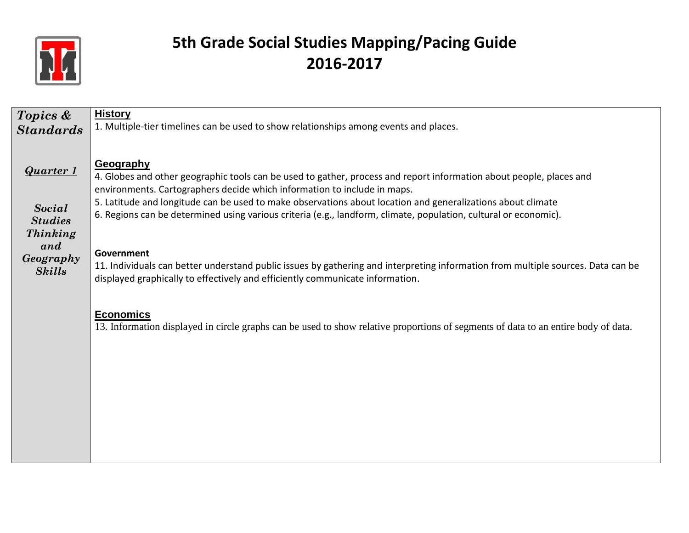

| Topics &                                    | <b>History</b>                                                                                                                                                                                                                  |
|---------------------------------------------|---------------------------------------------------------------------------------------------------------------------------------------------------------------------------------------------------------------------------------|
| <b>Standards</b>                            | 1. Multiple-tier timelines can be used to show relationships among events and places.                                                                                                                                           |
|                                             |                                                                                                                                                                                                                                 |
| <b>Quarter 1</b>                            | Geography<br>4. Globes and other geographic tools can be used to gather, process and report information about people, places and<br>environments. Cartographers decide which information to include in maps.                    |
| Social<br><b>Studies</b><br><b>Thinking</b> | 5. Latitude and longitude can be used to make observations about location and generalizations about climate<br>6. Regions can be determined using various criteria (e.g., landform, climate, population, cultural or economic). |
| and<br>Geography<br><b>Skills</b>           | Government<br>11. Individuals can better understand public issues by gathering and interpreting information from multiple sources. Data can be<br>displayed graphically to effectively and efficiently communicate information. |
|                                             | <b>Economics</b><br>13. Information displayed in circle graphs can be used to show relative proportions of segments of data to an entire body of data.                                                                          |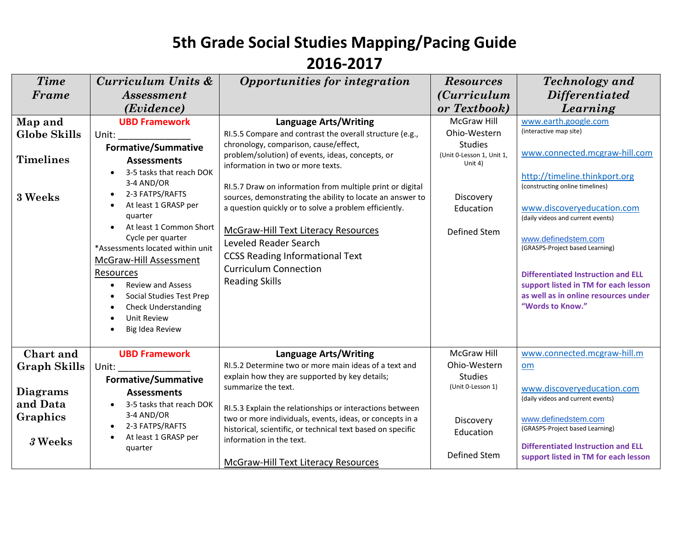| <b>Time</b>         | Curriculum Units &                                                                                             | Opportunities for integration                                                         | <b>Resources</b>                       | Technology and                                                  |
|---------------------|----------------------------------------------------------------------------------------------------------------|---------------------------------------------------------------------------------------|----------------------------------------|-----------------------------------------------------------------|
| Frame               | <i>Assessment</i>                                                                                              |                                                                                       | <i>(Curriculum</i> )                   | <i>Differentiated</i>                                           |
|                     | ( <i>Evidence</i> )                                                                                            |                                                                                       | or Textbook)                           | Learning                                                        |
| Map and             | <b>UBD Framework</b>                                                                                           | <b>Language Arts/Writing</b>                                                          | <b>McGraw Hill</b>                     | www.earth.google.com                                            |
| <b>Globe Skills</b> | Unit: and the state of the state of the state of the state of the state of the state of the state of the state | RI.5.5 Compare and contrast the overall structure (e.g.,                              | Ohio-Western                           | (interactive map site)                                          |
|                     | <b>Formative/Summative</b>                                                                                     | chronology, comparison, cause/effect,                                                 | <b>Studies</b>                         |                                                                 |
| <b>Timelines</b>    | <b>Assessments</b>                                                                                             | problem/solution) of events, ideas, concepts, or<br>information in two or more texts. | (Unit 0-Lesson 1, Unit 1,<br>Unit $4)$ | www.connected.mcgraw-hill.com                                   |
|                     | 3-5 tasks that reach DOK                                                                                       |                                                                                       |                                        | http://timeline.thinkport.org                                   |
|                     | 3-4 AND/OR                                                                                                     | RI.5.7 Draw on information from multiple print or digital                             |                                        | (constructing online timelines)                                 |
| 3 Weeks             | 2-3 FATPS/RAFTS<br>$\bullet$                                                                                   | sources, demonstrating the ability to locate an answer to                             | Discovery                              |                                                                 |
|                     | At least 1 GRASP per<br>$\bullet$<br>quarter                                                                   | a question quickly or to solve a problem efficiently.                                 | Education                              | www.discoveryeducation.com<br>(daily videos and current events) |
|                     | At least 1 Common Short                                                                                        |                                                                                       |                                        |                                                                 |
|                     | Cycle per quarter                                                                                              | <b>McGraw-Hill Text Literacy Resources</b>                                            | Defined Stem                           | www.definedstem.com                                             |
|                     | *Assessments located within unit                                                                               | Leveled Reader Search                                                                 |                                        | (GRASPS-Project based Learning)                                 |
|                     | <b>McGraw-Hill Assessment</b>                                                                                  | <b>CCSS Reading Informational Text</b>                                                |                                        |                                                                 |
|                     | <b>Resources</b>                                                                                               | <b>Curriculum Connection</b>                                                          |                                        | Differentiated Instruction and ELL                              |
|                     | <b>Review and Assess</b><br>$\bullet$                                                                          | <b>Reading Skills</b>                                                                 |                                        | support listed in TM for each lesson                            |
|                     | Social Studies Test Prep<br>$\bullet$                                                                          |                                                                                       |                                        | as well as in online resources under                            |
|                     | <b>Check Understanding</b><br>$\bullet$                                                                        |                                                                                       |                                        | "Words to Know."                                                |
|                     | <b>Unit Review</b><br>$\bullet$                                                                                |                                                                                       |                                        |                                                                 |
|                     | Big Idea Review                                                                                                |                                                                                       |                                        |                                                                 |
| Chart and           | <b>UBD Framework</b>                                                                                           | <b>Language Arts/Writing</b>                                                          | <b>McGraw Hill</b>                     | www.connected.mcgraw-hill.m                                     |
| <b>Graph Skills</b> | Unit:                                                                                                          | RI.5.2 Determine two or more main ideas of a text and                                 | Ohio-Western                           | om                                                              |
|                     | <b>Formative/Summative</b>                                                                                     | explain how they are supported by key details;                                        | <b>Studies</b>                         |                                                                 |
| Diagrams            | <b>Assessments</b>                                                                                             | summarize the text.                                                                   | (Unit 0-Lesson 1)                      | www.discoveryeducation.com                                      |
| and Data            | 3-5 tasks that reach DOK<br>$\bullet$                                                                          | RI.5.3 Explain the relationships or interactions between                              |                                        | (daily videos and current events)                               |
| Graphics            | 3-4 AND/OR                                                                                                     | two or more individuals, events, ideas, or concepts in a                              | Discovery                              | www.definedstem.com                                             |
|                     | 2-3 FATPS/RAFTS<br>$\bullet$                                                                                   | historical, scientific, or technical text based on specific                           | Education                              | (GRASPS-Project based Learning)                                 |
| 3 Weeks             | At least 1 GRASP per                                                                                           | information in the text.                                                              |                                        | <b>Differentiated Instruction and ELL</b>                       |
|                     | quarter                                                                                                        |                                                                                       | Defined Stem                           | support listed in TM for each lesson                            |
|                     |                                                                                                                | McGraw-Hill Text Literacy Resources                                                   |                                        |                                                                 |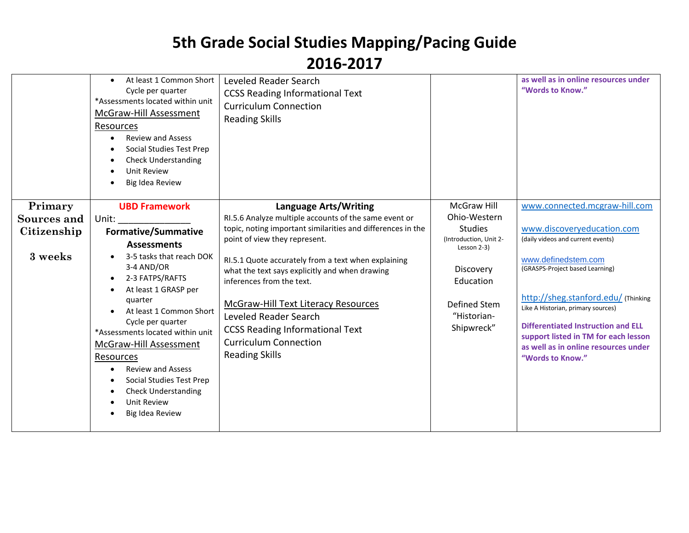|             | At least 1 Common Short<br>$\bullet$<br>Cycle per quarter<br>*Assessments located within unit<br>McGraw-Hill Assessment<br><b>Resources</b><br><b>Review and Assess</b><br>$\bullet$<br>Social Studies Test Prep<br>$\bullet$<br><b>Check Understanding</b><br><b>Unit Review</b><br>Big Idea Review                                                         | Leveled Reader Search<br><b>CCSS Reading Informational Text</b><br><b>Curriculum Connection</b><br><b>Reading Skills</b>                                                                                                                                                                              |                                                                                           | as well as in online resources under<br>"Words to Know."                                                                                                                                                                                                                             |
|-------------|--------------------------------------------------------------------------------------------------------------------------------------------------------------------------------------------------------------------------------------------------------------------------------------------------------------------------------------------------------------|-------------------------------------------------------------------------------------------------------------------------------------------------------------------------------------------------------------------------------------------------------------------------------------------------------|-------------------------------------------------------------------------------------------|--------------------------------------------------------------------------------------------------------------------------------------------------------------------------------------------------------------------------------------------------------------------------------------|
| Primary     | <b>UBD Framework</b>                                                                                                                                                                                                                                                                                                                                         | <b>Language Arts/Writing</b>                                                                                                                                                                                                                                                                          | McGraw Hill                                                                               | www.connected.mcgraw-hill.com                                                                                                                                                                                                                                                        |
| Sources and | Unit:                                                                                                                                                                                                                                                                                                                                                        | RI.5.6 Analyze multiple accounts of the same event or                                                                                                                                                                                                                                                 | Ohio-Western                                                                              |                                                                                                                                                                                                                                                                                      |
| Citizenship | <b>Formative/Summative</b>                                                                                                                                                                                                                                                                                                                                   | topic, noting important similarities and differences in the                                                                                                                                                                                                                                           | <b>Studies</b>                                                                            | www.discoveryeducation.com                                                                                                                                                                                                                                                           |
|             | <b>Assessments</b>                                                                                                                                                                                                                                                                                                                                           | point of view they represent.                                                                                                                                                                                                                                                                         | (Introduction, Unit 2-                                                                    | (daily videos and current events)                                                                                                                                                                                                                                                    |
| 3 weeks     | 3-5 tasks that reach DOK<br>3-4 AND/OR<br>2-3 FATPS/RAFTS<br>At least 1 GRASP per<br>quarter<br>At least 1 Common Short<br>Cycle per quarter<br>*Assessments located within unit<br>McGraw-Hill Assessment<br>Resources<br><b>Review and Assess</b><br>Social Studies Test Prep<br>$\bullet$<br><b>Check Understanding</b><br>Unit Review<br>Big Idea Review | RI.5.1 Quote accurately from a text when explaining<br>what the text says explicitly and when drawing<br>inferences from the text.<br>McGraw-Hill Text Literacy Resources<br>Leveled Reader Search<br><b>CCSS Reading Informational Text</b><br><b>Curriculum Connection</b><br><b>Reading Skills</b> | Lesson 2-3)<br>Discovery<br>Education<br><b>Defined Stem</b><br>"Historian-<br>Shipwreck" | www.definedstem.com<br>(GRASPS-Project based Learning)<br>http://sheg.stanford.edu/ (Thinking<br>Like A Historian, primary sources)<br><b>Differentiated Instruction and ELL</b><br>support listed in TM for each lesson<br>as well as in online resources under<br>"Words to Know." |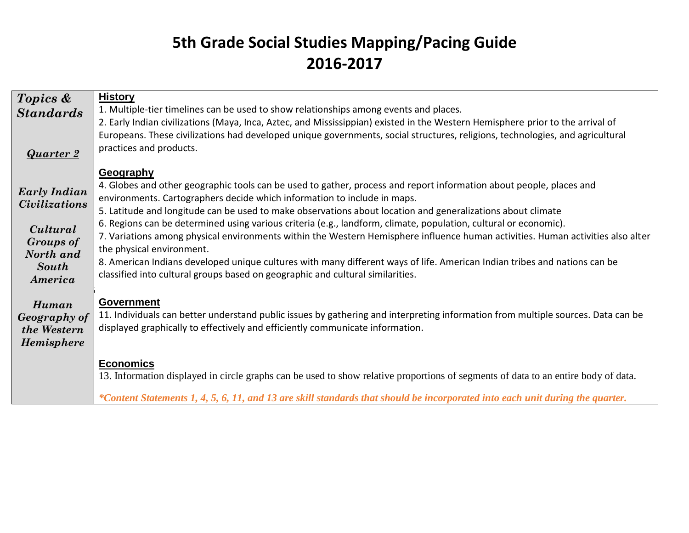| Topics &             | <b>History</b>                                                                                                                     |
|----------------------|------------------------------------------------------------------------------------------------------------------------------------|
| <b>Standards</b>     | 1. Multiple-tier timelines can be used to show relationships among events and places.                                              |
|                      | 2. Early Indian civilizations (Maya, Inca, Aztec, and Mississippian) existed in the Western Hemisphere prior to the arrival of     |
|                      | Europeans. These civilizations had developed unique governments, social structures, religions, technologies, and agricultural      |
|                      |                                                                                                                                    |
| <b>Quarter 2</b>     | practices and products.                                                                                                            |
|                      |                                                                                                                                    |
|                      | Geography                                                                                                                          |
|                      | 4. Globes and other geographic tools can be used to gather, process and report information about people, places and                |
| <b>Early Indian</b>  | environments. Cartographers decide which information to include in maps.                                                           |
| <i>Civilizations</i> | 5. Latitude and longitude can be used to make observations about location and generalizations about climate                        |
|                      | 6. Regions can be determined using various criteria (e.g., landform, climate, population, cultural or economic).                   |
| Cultural             |                                                                                                                                    |
| <b>Groups of</b>     | 7. Variations among physical environments within the Western Hemisphere influence human activities. Human activities also alter    |
| North and            | the physical environment.                                                                                                          |
| <b>South</b>         | 8. American Indians developed unique cultures with many different ways of life. American Indian tribes and nations can be          |
| America              | classified into cultural groups based on geographic and cultural similarities.                                                     |
|                      |                                                                                                                                    |
|                      | <b>Government</b>                                                                                                                  |
| Human                |                                                                                                                                    |
| Geography of         | 11. Individuals can better understand public issues by gathering and interpreting information from multiple sources. Data can be   |
| the Western          | displayed graphically to effectively and efficiently communicate information.                                                      |
| <b>Hemisphere</b>    |                                                                                                                                    |
|                      |                                                                                                                                    |
|                      | <b>Economics</b>                                                                                                                   |
|                      | 13. Information displayed in circle graphs can be used to show relative proportions of segments of data to an entire body of data. |
|                      |                                                                                                                                    |
|                      | *Content Statements 1, 4, 5, 6, 11, and 13 are skill standards that should be incorporated into each unit during the quarter.      |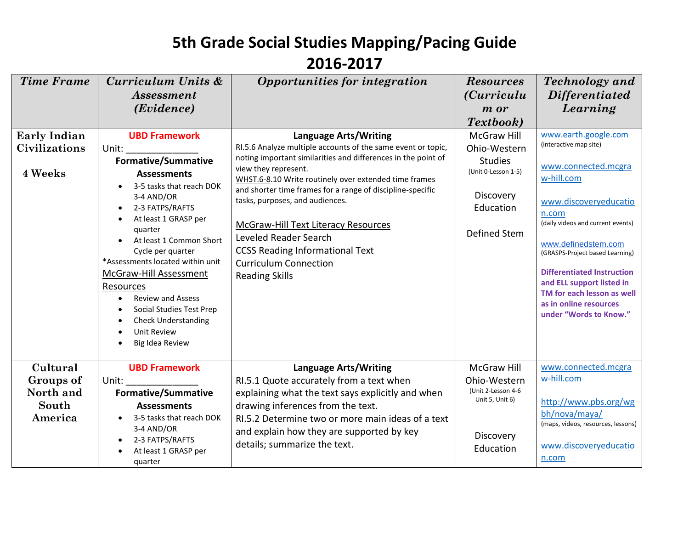| <b>Time Frame</b>                                      | Curriculum Units &<br><b>Assessment</b><br>( <i>Evidence</i> )                                                                                                                                                                                                                                                                                                                                                                                           | Opportunities for integration                                                                                                                                                                                                                                                                                                                                                                                                                                                                               | <b>Resources</b><br><i>(Curriculu</i><br>m or<br>Textbook)                                                                   | <b>Technology</b> and<br><i>Differentiated</i><br>Learning                                                                                                                                                                                                                                                                                                               |
|--------------------------------------------------------|----------------------------------------------------------------------------------------------------------------------------------------------------------------------------------------------------------------------------------------------------------------------------------------------------------------------------------------------------------------------------------------------------------------------------------------------------------|-------------------------------------------------------------------------------------------------------------------------------------------------------------------------------------------------------------------------------------------------------------------------------------------------------------------------------------------------------------------------------------------------------------------------------------------------------------------------------------------------------------|------------------------------------------------------------------------------------------------------------------------------|--------------------------------------------------------------------------------------------------------------------------------------------------------------------------------------------------------------------------------------------------------------------------------------------------------------------------------------------------------------------------|
| <b>Early Indian</b><br><b>Civilizations</b><br>4 Weeks | <b>UBD Framework</b><br>Unit:<br><b>Formative/Summative</b><br><b>Assessments</b><br>3-5 tasks that reach DOK<br>3-4 AND/OR<br>2-3 FATPS/RAFTS<br>$\bullet$<br>At least 1 GRASP per<br>quarter<br>At least 1 Common Short<br>Cycle per quarter<br>*Assessments located within unit<br>McGraw-Hill Assessment<br>Resources<br><b>Review and Assess</b><br><b>Social Studies Test Prep</b><br><b>Check Understanding</b><br>Unit Review<br>Big Idea Review | Language Arts/Writing<br>RI.5.6 Analyze multiple accounts of the same event or topic,<br>noting important similarities and differences in the point of<br>view they represent.<br>WHST.6-8.10 Write routinely over extended time frames<br>and shorter time frames for a range of discipline-specific<br>tasks, purposes, and audiences.<br>McGraw-Hill Text Literacy Resources<br>Leveled Reader Search<br><b>CCSS Reading Informational Text</b><br><b>Curriculum Connection</b><br><b>Reading Skills</b> | <b>McGraw Hill</b><br>Ohio-Western<br><b>Studies</b><br>(Unit 0-Lesson 1-5)<br>Discovery<br>Education<br><b>Defined Stem</b> | www.earth.google.com<br>(interactive map site)<br>www.connected.mcgra<br>w-hill.com<br>www.discoveryeducatio<br>n.com<br>(daily videos and current events)<br>www.definedstem.com<br>(GRASPS-Project based Learning)<br><b>Differentiated Instruction</b><br>and ELL support listed in<br>TM for each lesson as well<br>as in online resources<br>under "Words to Know." |
| Cultural<br>Groups of<br>North and<br>South<br>America | <b>UBD Framework</b><br>Unit:<br><b>Formative/Summative</b><br><b>Assessments</b><br>3-5 tasks that reach DOK<br>3-4 AND/OR<br>2-3 FATPS/RAFTS<br>At least 1 GRASP per<br>quarter                                                                                                                                                                                                                                                                        | <b>Language Arts/Writing</b><br>RI.5.1 Quote accurately from a text when<br>explaining what the text says explicitly and when<br>drawing inferences from the text.<br>RI.5.2 Determine two or more main ideas of a text<br>and explain how they are supported by key<br>details; summarize the text.                                                                                                                                                                                                        | <b>McGraw Hill</b><br>Ohio-Western<br>(Unit 2-Lesson 4-6<br>Unit 5, Unit 6)<br>Discovery<br>Education                        | www.connected.mcgra<br>w-hill.com<br>http://www.pbs.org/wg<br>bh/nova/maya/<br>(maps, videos, resources, lessons)<br>www.discoveryeducatio<br>n.com                                                                                                                                                                                                                      |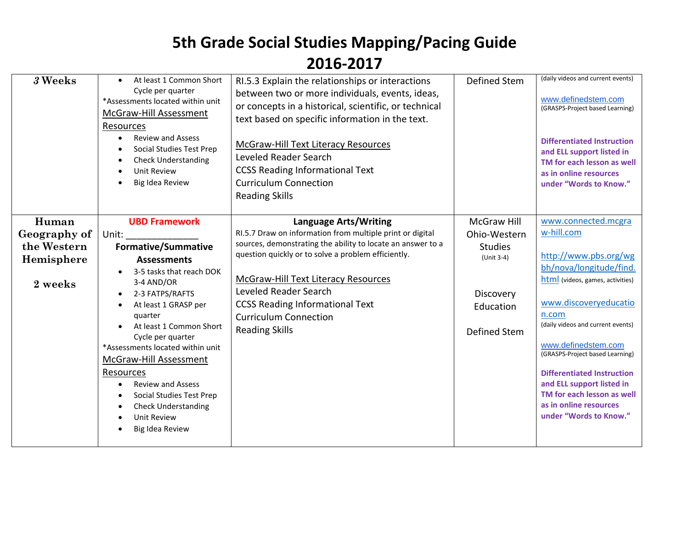| 3 Weeks      | At least 1 Common Short<br>$\bullet$<br>Cycle per quarter<br>*Assessments located within unit<br><b>McGraw-Hill Assessment</b><br>Resources<br><b>Review and Assess</b><br>$\bullet$<br>Social Studies Test Prep<br><b>Check Understanding</b><br>Unit Review<br>Big Idea Review | RI.5.3 Explain the relationships or interactions<br>between two or more individuals, events, ideas,<br>or concepts in a historical, scientific, or technical<br>text based on specific information in the text.<br>McGraw-Hill Text Literacy Resources<br>Leveled Reader Search<br><b>CCSS Reading Informational Text</b><br><b>Curriculum Connection</b><br><b>Reading Skills</b> | <b>Defined Stem</b> | (daily videos and current events)<br>www.definedstem.com<br>(GRASPS-Project based Learning)<br><b>Differentiated Instruction</b><br>and ELL support listed in<br>TM for each lesson as well<br>as in online resources<br>under "Words to Know." |
|--------------|----------------------------------------------------------------------------------------------------------------------------------------------------------------------------------------------------------------------------------------------------------------------------------|------------------------------------------------------------------------------------------------------------------------------------------------------------------------------------------------------------------------------------------------------------------------------------------------------------------------------------------------------------------------------------|---------------------|-------------------------------------------------------------------------------------------------------------------------------------------------------------------------------------------------------------------------------------------------|
| Human        | <b>UBD Framework</b>                                                                                                                                                                                                                                                             | Language Arts/Writing                                                                                                                                                                                                                                                                                                                                                              | <b>McGraw Hill</b>  | www.connected.mcgra                                                                                                                                                                                                                             |
|              |                                                                                                                                                                                                                                                                                  |                                                                                                                                                                                                                                                                                                                                                                                    |                     | w-hill.com                                                                                                                                                                                                                                      |
| Geography of | Unit:                                                                                                                                                                                                                                                                            | RI.5.7 Draw on information from multiple print or digital                                                                                                                                                                                                                                                                                                                          | Ohio-Western        |                                                                                                                                                                                                                                                 |
| the Western  | <b>Formative/Summative</b>                                                                                                                                                                                                                                                       | sources, demonstrating the ability to locate an answer to a                                                                                                                                                                                                                                                                                                                        | <b>Studies</b>      |                                                                                                                                                                                                                                                 |
| Hemisphere   | <b>Assessments</b>                                                                                                                                                                                                                                                               | question quickly or to solve a problem efficiently.                                                                                                                                                                                                                                                                                                                                | (Unit 3-4)          | http://www.pbs.org/wg                                                                                                                                                                                                                           |
|              | 3-5 tasks that reach DOK                                                                                                                                                                                                                                                         |                                                                                                                                                                                                                                                                                                                                                                                    |                     | bh/nova/longitude/find.                                                                                                                                                                                                                         |
| 2 weeks      | 3-4 AND/OR                                                                                                                                                                                                                                                                       | <b>McGraw-Hill Text Literacy Resources</b>                                                                                                                                                                                                                                                                                                                                         |                     | html (videos, games, activities)                                                                                                                                                                                                                |
|              | 2-3 FATPS/RAFTS<br>$\bullet$                                                                                                                                                                                                                                                     | Leveled Reader Search                                                                                                                                                                                                                                                                                                                                                              | Discovery           |                                                                                                                                                                                                                                                 |
|              | At least 1 GRASP per<br>$\bullet$                                                                                                                                                                                                                                                | <b>CCSS Reading Informational Text</b>                                                                                                                                                                                                                                                                                                                                             | Education           | www.discoveryeducatio                                                                                                                                                                                                                           |
|              | quarter                                                                                                                                                                                                                                                                          | <b>Curriculum Connection</b>                                                                                                                                                                                                                                                                                                                                                       |                     | n.com                                                                                                                                                                                                                                           |
|              | At least 1 Common Short                                                                                                                                                                                                                                                          |                                                                                                                                                                                                                                                                                                                                                                                    |                     | (daily videos and current events)                                                                                                                                                                                                               |
|              | Cycle per quarter                                                                                                                                                                                                                                                                | <b>Reading Skills</b>                                                                                                                                                                                                                                                                                                                                                              | <b>Defined Stem</b> |                                                                                                                                                                                                                                                 |
|              | *Assessments located within unit                                                                                                                                                                                                                                                 |                                                                                                                                                                                                                                                                                                                                                                                    |                     | www.definedstem.com                                                                                                                                                                                                                             |
|              | McGraw-Hill Assessment                                                                                                                                                                                                                                                           |                                                                                                                                                                                                                                                                                                                                                                                    |                     | (GRASPS-Project based Learning)                                                                                                                                                                                                                 |
|              |                                                                                                                                                                                                                                                                                  |                                                                                                                                                                                                                                                                                                                                                                                    |                     |                                                                                                                                                                                                                                                 |
|              | Resources                                                                                                                                                                                                                                                                        |                                                                                                                                                                                                                                                                                                                                                                                    |                     | <b>Differentiated Instruction</b>                                                                                                                                                                                                               |
|              | <b>Review and Assess</b><br>$\bullet$                                                                                                                                                                                                                                            |                                                                                                                                                                                                                                                                                                                                                                                    |                     | and ELL support listed in<br>TM for each lesson as well                                                                                                                                                                                         |
|              | Social Studies Test Prep                                                                                                                                                                                                                                                         |                                                                                                                                                                                                                                                                                                                                                                                    |                     | as in online resources                                                                                                                                                                                                                          |
|              | <b>Check Understanding</b>                                                                                                                                                                                                                                                       |                                                                                                                                                                                                                                                                                                                                                                                    |                     | under "Words to Know."                                                                                                                                                                                                                          |
|              | <b>Unit Review</b>                                                                                                                                                                                                                                                               |                                                                                                                                                                                                                                                                                                                                                                                    |                     |                                                                                                                                                                                                                                                 |
|              | Big Idea Review                                                                                                                                                                                                                                                                  |                                                                                                                                                                                                                                                                                                                                                                                    |                     |                                                                                                                                                                                                                                                 |
|              |                                                                                                                                                                                                                                                                                  |                                                                                                                                                                                                                                                                                                                                                                                    |                     |                                                                                                                                                                                                                                                 |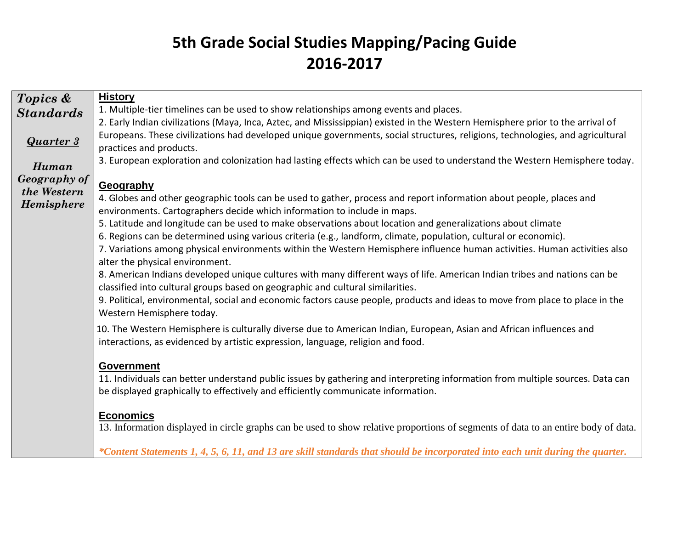| Topics &          | <b>History</b>                                                                                                                                                                                              |
|-------------------|-------------------------------------------------------------------------------------------------------------------------------------------------------------------------------------------------------------|
| <b>Standards</b>  | 1. Multiple-tier timelines can be used to show relationships among events and places.                                                                                                                       |
|                   | 2. Early Indian civilizations (Maya, Inca, Aztec, and Mississippian) existed in the Western Hemisphere prior to the arrival of                                                                              |
| <b>Quarter 3</b>  | Europeans. These civilizations had developed unique governments, social structures, religions, technologies, and agricultural                                                                               |
|                   | practices and products.                                                                                                                                                                                     |
| Human             | 3. European exploration and colonization had lasting effects which can be used to understand the Western Hemisphere today.                                                                                  |
| Geography of      |                                                                                                                                                                                                             |
| the Western       | Geography                                                                                                                                                                                                   |
| <b>Hemisphere</b> | 4. Globes and other geographic tools can be used to gather, process and report information about people, places and                                                                                         |
|                   | environments. Cartographers decide which information to include in maps.                                                                                                                                    |
|                   | 5. Latitude and longitude can be used to make observations about location and generalizations about climate                                                                                                 |
|                   | 6. Regions can be determined using various criteria (e.g., landform, climate, population, cultural or economic).                                                                                            |
|                   | 7. Variations among physical environments within the Western Hemisphere influence human activities. Human activities also<br>alter the physical environment.                                                |
|                   | 8. American Indians developed unique cultures with many different ways of life. American Indian tribes and nations can be<br>classified into cultural groups based on geographic and cultural similarities. |
|                   | 9. Political, environmental, social and economic factors cause people, products and ideas to move from place to place in the                                                                                |
|                   | Western Hemisphere today.                                                                                                                                                                                   |
|                   | 10. The Western Hemisphere is culturally diverse due to American Indian, European, Asian and African influences and<br>interactions, as evidenced by artistic expression, language, religion and food.      |
|                   |                                                                                                                                                                                                             |
|                   | <b>Government</b>                                                                                                                                                                                           |
|                   | 11. Individuals can better understand public issues by gathering and interpreting information from multiple sources. Data can                                                                               |
|                   | be displayed graphically to effectively and efficiently communicate information.                                                                                                                            |
|                   |                                                                                                                                                                                                             |
|                   | <b>Economics</b><br>13. Information displayed in circle graphs can be used to show relative proportions of segments of data to an entire body of data.                                                      |
|                   |                                                                                                                                                                                                             |
|                   | *Content Statements 1, 4, 5, 6, 11, and 13 are skill standards that should be incorporated into each unit during the quarter.                                                                               |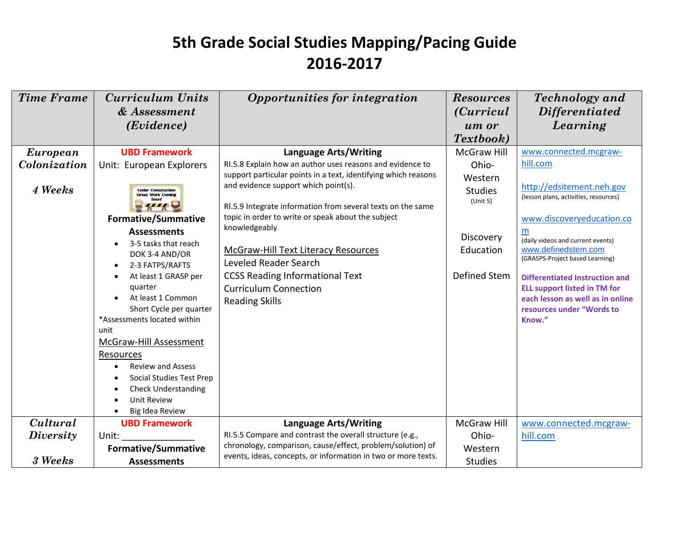| <b>Time Frame</b>       | Curriculum Units                                                                                                                                                                                                                                                                                                                                       | Opportunities for integration                                                                                                                                                                                                                                                                                                                                                                                                                                                        | <b>Resources</b>                                                                                | <b>Technology</b> and                                                                                                                                                                                                                                                                                                                                                      |
|-------------------------|--------------------------------------------------------------------------------------------------------------------------------------------------------------------------------------------------------------------------------------------------------------------------------------------------------------------------------------------------------|--------------------------------------------------------------------------------------------------------------------------------------------------------------------------------------------------------------------------------------------------------------------------------------------------------------------------------------------------------------------------------------------------------------------------------------------------------------------------------------|-------------------------------------------------------------------------------------------------|----------------------------------------------------------------------------------------------------------------------------------------------------------------------------------------------------------------------------------------------------------------------------------------------------------------------------------------------------------------------------|
|                         | & Assessment                                                                                                                                                                                                                                                                                                                                           |                                                                                                                                                                                                                                                                                                                                                                                                                                                                                      | <i>(Curricul</i> )                                                                              | <b>Differentiated</b>                                                                                                                                                                                                                                                                                                                                                      |
|                         | ( <i>Evidence</i> )                                                                                                                                                                                                                                                                                                                                    |                                                                                                                                                                                                                                                                                                                                                                                                                                                                                      | um or                                                                                           | Learning                                                                                                                                                                                                                                                                                                                                                                   |
|                         |                                                                                                                                                                                                                                                                                                                                                        |                                                                                                                                                                                                                                                                                                                                                                                                                                                                                      | Textbook)                                                                                       |                                                                                                                                                                                                                                                                                                                                                                            |
| European                | <b>UBD Framework</b>                                                                                                                                                                                                                                                                                                                                   | <b>Language Arts/Writing</b>                                                                                                                                                                                                                                                                                                                                                                                                                                                         | <b>McGraw Hill</b>                                                                              | www.connected.mcgraw-                                                                                                                                                                                                                                                                                                                                                      |
| Colonization<br>4 Weeks | Unit: European Explorers<br><b>Under Construction</b><br><b>Great Work Coming</b><br><b>Formative/Summative</b><br><b>Assessments</b><br>3-5 tasks that reach<br>DOK 3-4 AND/OR<br>2-3 FATPS/RAFTS<br>At least 1 GRASP per<br>quarter<br>At least 1 Common<br>Short Cycle per quarter<br>*Assessments located within<br>unit<br>McGraw-Hill Assessment | RI.5.8 Explain how an author uses reasons and evidence to<br>support particular points in a text, identifying which reasons<br>and evidence support which point(s).<br>RI.5.9 Integrate information from several texts on the same<br>topic in order to write or speak about the subject<br>knowledgeably.<br><b>McGraw-Hill Text Literacy Resources</b><br>Leveled Reader Search<br><b>CCSS Reading Informational Text</b><br><b>Curriculum Connection</b><br><b>Reading Skills</b> | Ohio-<br>Western<br><b>Studies</b><br>(Unit 5)<br>Discovery<br>Education<br><b>Defined Stem</b> | hill.com<br>http://edsitement.neh.gov<br>(lesson plans, activities, resources)<br>www.discoveryeducation.co<br>m<br>(daily videos and current events)<br>www.definedstem.com<br>(GRASPS-Project based Learning)<br><b>Differentiated Instruction and</b><br><b>ELL support listed in TM for</b><br>each lesson as well as in online<br>resources under "Words to<br>Know." |
|                         | Resources<br><b>Review and Assess</b><br>Social Studies Test Prep<br><b>Check Understanding</b><br>Unit Review<br>Big Idea Review                                                                                                                                                                                                                      |                                                                                                                                                                                                                                                                                                                                                                                                                                                                                      |                                                                                                 |                                                                                                                                                                                                                                                                                                                                                                            |
| Cultural                | <b>UBD Framework</b>                                                                                                                                                                                                                                                                                                                                   | <b>Language Arts/Writing</b>                                                                                                                                                                                                                                                                                                                                                                                                                                                         | <b>McGraw Hill</b>                                                                              | www.connected.mcgraw-                                                                                                                                                                                                                                                                                                                                                      |
| <b>Diversity</b>        | Unit:                                                                                                                                                                                                                                                                                                                                                  | RI.5.5 Compare and contrast the overall structure (e.g.,                                                                                                                                                                                                                                                                                                                                                                                                                             | Ohio-                                                                                           | hill.com                                                                                                                                                                                                                                                                                                                                                                   |
|                         | <b>Formative/Summative</b>                                                                                                                                                                                                                                                                                                                             | chronology, comparison, cause/effect, problem/solution) of                                                                                                                                                                                                                                                                                                                                                                                                                           | Western                                                                                         |                                                                                                                                                                                                                                                                                                                                                                            |
| 3 Weeks                 | <b>Assessments</b>                                                                                                                                                                                                                                                                                                                                     | events, ideas, concepts, or information in two or more texts.                                                                                                                                                                                                                                                                                                                                                                                                                        | <b>Studies</b>                                                                                  |                                                                                                                                                                                                                                                                                                                                                                            |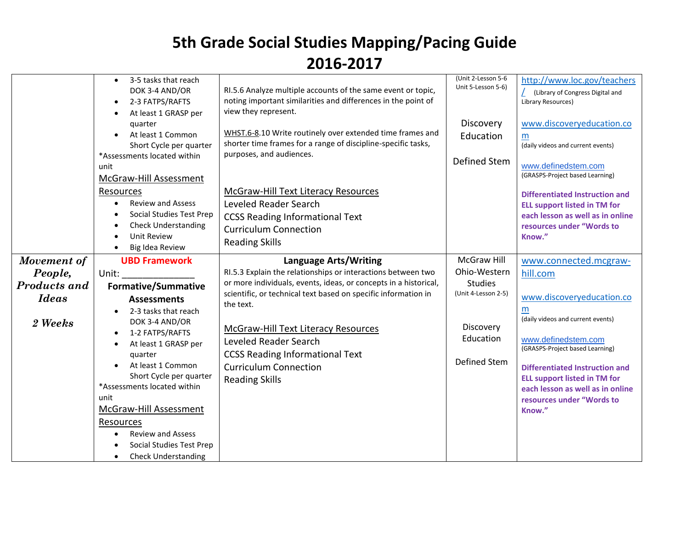|                                                | 3-5 tasks that reach<br>$\bullet$<br>DOK 3-4 AND/OR<br>2-3 FATPS/RAFTS<br>$\bullet$<br>At least 1 GRASP per<br>quarter<br>At least 1 Common<br>Short Cycle per quarter<br>*Assessments located within<br>unit<br>McGraw-Hill Assessment<br>Resources<br><b>Review and Assess</b><br><b>Social Studies Test Prep</b><br>Check Understanding<br>O<br><b>Unit Review</b><br><b>Big Idea Review</b> | RI.5.6 Analyze multiple accounts of the same event or topic,<br>noting important similarities and differences in the point of<br>view they represent.<br>WHST.6-8.10 Write routinely over extended time frames and<br>shorter time frames for a range of discipline-specific tasks,<br>purposes, and audiences.<br><b>McGraw-Hill Text Literacy Resources</b><br>Leveled Reader Search<br><b>CCSS Reading Informational Text</b><br><b>Curriculum Connection</b><br><b>Reading Skills</b> | (Unit 2-Lesson 5-6<br>Unit 5-Lesson 5-6)<br>Discovery<br>Education<br><b>Defined Stem</b> | http://www.loc.gov/teachers<br>$\angle$ (Library of Congress Digital and<br>Library Resources)<br>www.discoveryeducation.co<br>m<br>(daily videos and current events)<br>www.definedstem.com<br>(GRASPS-Project based Learning)<br><b>Differentiated Instruction and</b><br><b>ELL support listed in TM for</b><br>each lesson as well as in online<br>resources under "Words to<br>Know." |
|------------------------------------------------|-------------------------------------------------------------------------------------------------------------------------------------------------------------------------------------------------------------------------------------------------------------------------------------------------------------------------------------------------------------------------------------------------|-------------------------------------------------------------------------------------------------------------------------------------------------------------------------------------------------------------------------------------------------------------------------------------------------------------------------------------------------------------------------------------------------------------------------------------------------------------------------------------------|-------------------------------------------------------------------------------------------|--------------------------------------------------------------------------------------------------------------------------------------------------------------------------------------------------------------------------------------------------------------------------------------------------------------------------------------------------------------------------------------------|
| Movement of                                    | <b>UBD Framework</b>                                                                                                                                                                                                                                                                                                                                                                            | <b>Language Arts/Writing</b>                                                                                                                                                                                                                                                                                                                                                                                                                                                              | <b>McGraw Hill</b>                                                                        | www.connected.mcgraw-                                                                                                                                                                                                                                                                                                                                                                      |
| People,                                        | Unit:                                                                                                                                                                                                                                                                                                                                                                                           | RI.5.3 Explain the relationships or interactions between two<br>or more individuals, events, ideas, or concepts in a historical,                                                                                                                                                                                                                                                                                                                                                          | Ohio-Western<br><b>Studies</b>                                                            | hill.com                                                                                                                                                                                                                                                                                                                                                                                   |
| <b>Products and</b><br><b>Ideas</b><br>2 Weeks | <b>Formative/Summative</b><br><b>Assessments</b><br>2-3 tasks that reach<br>DOK 3-4 AND/OR<br>1-2 FATPS/RAFTS<br>$\bullet$<br>At least 1 GRASP per<br>$\bullet$<br>quarter<br>At least 1 Common<br>$\bullet$<br>Short Cycle per quarter<br>*Assessments located within<br>unit<br>McGraw-Hill Assessment<br>Resources                                                                           | scientific, or technical text based on specific information in<br>the text.<br>McGraw-Hill Text Literacy Resources<br>Leveled Reader Search<br><b>CCSS Reading Informational Text</b><br><b>Curriculum Connection</b><br><b>Reading Skills</b>                                                                                                                                                                                                                                            | (Unit 4-Lesson 2-5)<br>Discovery<br>Education<br><b>Defined Stem</b>                      | www.discoveryeducation.co<br>m<br>(daily videos and current events)<br>www.definedstem.com<br>(GRASPS-Project based Learning)<br><b>Differentiated Instruction and</b><br><b>ELL support listed in TM for</b><br>each lesson as well as in online<br>resources under "Words to<br>Know."                                                                                                   |
|                                                | <b>Review and Assess</b><br>Social Studies Test Prep<br><b>Check Understanding</b><br>$\bullet$                                                                                                                                                                                                                                                                                                 |                                                                                                                                                                                                                                                                                                                                                                                                                                                                                           |                                                                                           |                                                                                                                                                                                                                                                                                                                                                                                            |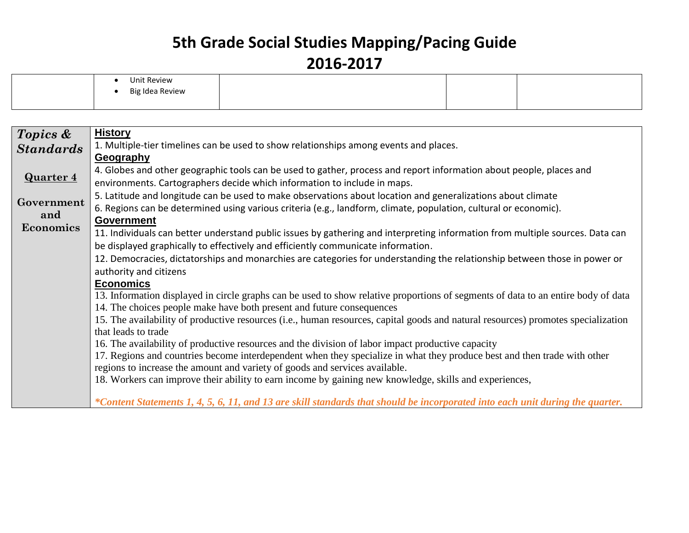| Unit Review     |  |  |
|-----------------|--|--|
| Big Idea Review |  |  |
|                 |  |  |

| Topics &         | <b>History</b>                                                                                                                    |
|------------------|-----------------------------------------------------------------------------------------------------------------------------------|
| <b>Standards</b> | 1. Multiple-tier timelines can be used to show relationships among events and places.                                             |
|                  | Geography                                                                                                                         |
| <b>Quarter 4</b> | 4. Globes and other geographic tools can be used to gather, process and report information about people, places and               |
|                  | environments. Cartographers decide which information to include in maps.                                                          |
| Government       | 5. Latitude and longitude can be used to make observations about location and generalizations about climate                       |
| and              | 6. Regions can be determined using various criteria (e.g., landform, climate, population, cultural or economic).                  |
| Economics        | <b>Government</b>                                                                                                                 |
|                  | 11. Individuals can better understand public issues by gathering and interpreting information from multiple sources. Data can     |
|                  | be displayed graphically to effectively and efficiently communicate information.                                                  |
|                  | 12. Democracies, dictatorships and monarchies are categories for understanding the relationship between those in power or         |
|                  | authority and citizens                                                                                                            |
|                  | <b>Economics</b>                                                                                                                  |
|                  | 13. Information displayed in circle graphs can be used to show relative proportions of segments of data to an entire body of data |
|                  | 14. The choices people make have both present and future consequences                                                             |
|                  | 15. The availability of productive resources (i.e., human resources, capital goods and natural resources) promotes specialization |
|                  | that leads to trade                                                                                                               |
|                  | 16. The availability of productive resources and the division of labor impact productive capacity                                 |
|                  | 17. Regions and countries become interdependent when they specialize in what they produce best and then trade with other          |
|                  | regions to increase the amount and variety of goods and services available.                                                       |
|                  | 18. Workers can improve their ability to earn income by gaining new knowledge, skills and experiences,                            |
|                  | *Content Statements 1, 4, 5, 6, 11, and 13 are skill standards that should be incorporated into each unit during the quarter.     |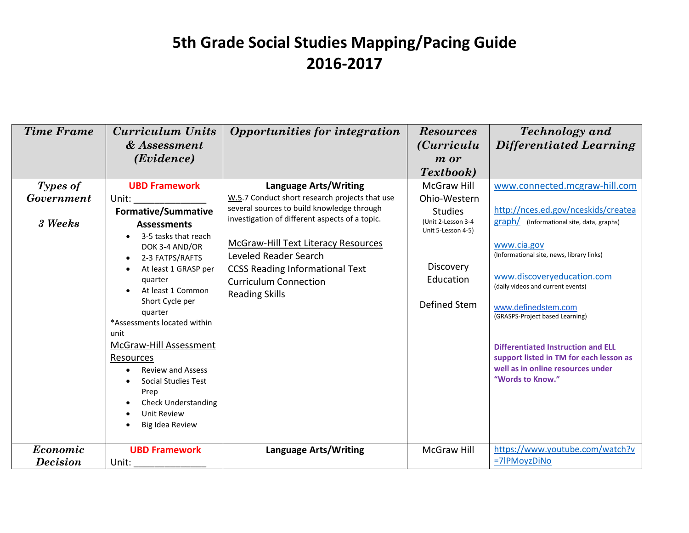| <b>Time Frame</b>                        | Curriculum Units<br>& Assessment<br>(Evidence)                                                                                                                                                                                                                                                                                                                                                                                                             | Opportunities for integration                                                                                                                                                                                                                                                                                                                     | <b>Resources</b><br><i>(Curriculu)</i><br><i>m</i> or<br>Textbook)                                                                         | <b>Technology</b> and<br>Differentiated Learning                                                                                                                                                                                                                                                                                                                                                                                                            |
|------------------------------------------|------------------------------------------------------------------------------------------------------------------------------------------------------------------------------------------------------------------------------------------------------------------------------------------------------------------------------------------------------------------------------------------------------------------------------------------------------------|---------------------------------------------------------------------------------------------------------------------------------------------------------------------------------------------------------------------------------------------------------------------------------------------------------------------------------------------------|--------------------------------------------------------------------------------------------------------------------------------------------|-------------------------------------------------------------------------------------------------------------------------------------------------------------------------------------------------------------------------------------------------------------------------------------------------------------------------------------------------------------------------------------------------------------------------------------------------------------|
| Types of<br><b>Government</b><br>3 Weeks | <b>UBD Framework</b><br>Unit:<br>Formative/Summative<br><b>Assessments</b><br>3-5 tasks that reach<br>DOK 3-4 AND/OR<br>2-3 FATPS/RAFTS<br>$\bullet$<br>At least 1 GRASP per<br>quarter<br>At least 1 Common<br>Short Cycle per<br>quarter<br>*Assessments located within<br>unit<br>McGraw-Hill Assessment<br>Resources<br><b>Review and Assess</b><br><b>Social Studies Test</b><br>Prep<br><b>Check Understanding</b><br>Unit Review<br>Big Idea Review | <b>Language Arts/Writing</b><br>W.5.7 Conduct short research projects that use<br>several sources to build knowledge through<br>investigation of different aspects of a topic.<br>McGraw-Hill Text Literacy Resources<br>Leveled Reader Search<br><b>CCSS Reading Informational Text</b><br><b>Curriculum Connection</b><br><b>Reading Skills</b> | <b>McGraw Hill</b><br>Ohio-Western<br><b>Studies</b><br>(Unit 2-Lesson 3-4<br>Unit 5-Lesson 4-5)<br>Discovery<br>Education<br>Defined Stem | www.connected.mcgraw-hill.com<br>http://nces.ed.gov/nceskids/createa<br>graph/ (Informational site, data, graphs)<br>www.cia.gov<br>(Informational site, news, library links)<br>www.discoveryeducation.com<br>(daily videos and current events)<br>www.definedstem.com<br>(GRASPS-Project based Learning)<br><b>Differentiated Instruction and ELL</b><br>support listed in TM for each lesson as<br>well as in online resources under<br>"Words to Know." |
| Economic<br><b>Decision</b>              | <b>UBD Framework</b><br>Unit:                                                                                                                                                                                                                                                                                                                                                                                                                              | <b>Language Arts/Writing</b>                                                                                                                                                                                                                                                                                                                      | McGraw Hill                                                                                                                                | https://www.youtube.com/watch?v<br>=7IPMoyzDiNo                                                                                                                                                                                                                                                                                                                                                                                                             |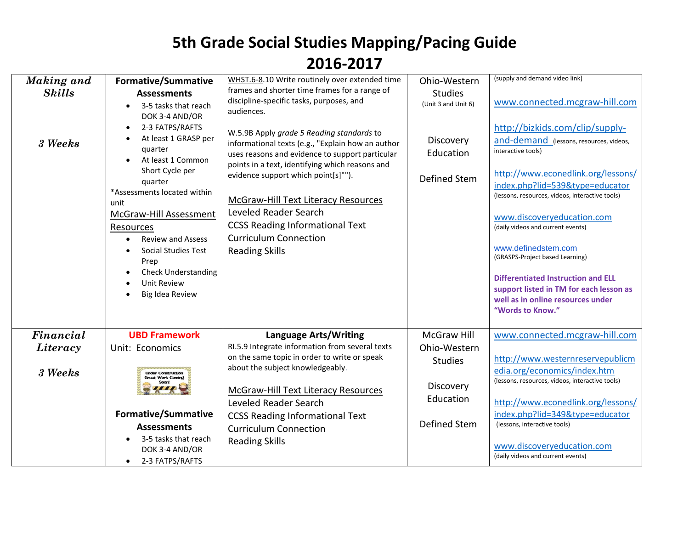| Making and    | <b>Formative/Summative</b>                                                                                                                                                                                                                                                                                                                                                                               | WHST.6-8.10 Write routinely over extended time                                                                                                                                                                                                                                                                                                                                                                        | Ohio-Western                                  | (supply and demand video link)                                                                                                                                                                                                                                                                                                                                                                                                                                                                             |
|---------------|----------------------------------------------------------------------------------------------------------------------------------------------------------------------------------------------------------------------------------------------------------------------------------------------------------------------------------------------------------------------------------------------------------|-----------------------------------------------------------------------------------------------------------------------------------------------------------------------------------------------------------------------------------------------------------------------------------------------------------------------------------------------------------------------------------------------------------------------|-----------------------------------------------|------------------------------------------------------------------------------------------------------------------------------------------------------------------------------------------------------------------------------------------------------------------------------------------------------------------------------------------------------------------------------------------------------------------------------------------------------------------------------------------------------------|
| <b>Skills</b> | <b>Assessments</b><br>3-5 tasks that reach<br>$\bullet$                                                                                                                                                                                                                                                                                                                                                  | frames and shorter time frames for a range of<br>discipline-specific tasks, purposes, and<br>audiences.                                                                                                                                                                                                                                                                                                               | <b>Studies</b><br>(Unit 3 and Unit 6)         | www.connected.mcgraw-hill.com                                                                                                                                                                                                                                                                                                                                                                                                                                                                              |
| 3 Weeks       | DOK 3-4 AND/OR<br>2-3 FATPS/RAFTS<br>$\bullet$<br>At least 1 GRASP per<br>$\bullet$<br>quarter<br>At least 1 Common<br>Short Cycle per<br>quarter<br>*Assessments located within<br>unit<br>McGraw-Hill Assessment<br>Resources<br><b>Review and Assess</b><br>$\bullet$<br><b>Social Studies Test</b><br>$\bullet$<br>Prep<br><b>Check Understanding</b><br>Unit Review<br>$\bullet$<br>Big Idea Review | W.5.9B Apply grade 5 Reading standards to<br>informational texts (e.g., "Explain how an author<br>uses reasons and evidence to support particular<br>points in a text, identifying which reasons and<br>evidence support which point[s]"").<br><b>McGraw-Hill Text Literacy Resources</b><br>Leveled Reader Search<br><b>CCSS Reading Informational Text</b><br><b>Curriculum Connection</b><br><b>Reading Skills</b> | Discovery<br>Education<br><b>Defined Stem</b> | http://bizkids.com/clip/supply-<br>and-demand (lessons, resources, videos,<br>interactive tools)<br>http://www.econedlink.org/lessons/<br>index.php?lid=539&type=educator<br>(lessons, resources, videos, interactive tools)<br>www.discoveryeducation.com<br>(daily videos and current events)<br>www.definedstem.com<br>(GRASPS-Project based Learning)<br><b>Differentiated Instruction and ELL</b><br>support listed in TM for each lesson as<br>well as in online resources under<br>"Words to Know." |
| Financial     | <b>UBD Framework</b>                                                                                                                                                                                                                                                                                                                                                                                     | <b>Language Arts/Writing</b>                                                                                                                                                                                                                                                                                                                                                                                          | McGraw Hill                                   | www.connected.mcgraw-hill.com                                                                                                                                                                                                                                                                                                                                                                                                                                                                              |
| Literacy      | Unit: Economics                                                                                                                                                                                                                                                                                                                                                                                          | RI.5.9 Integrate information from several texts<br>on the same topic in order to write or speak                                                                                                                                                                                                                                                                                                                       | Ohio-Western<br><b>Studies</b>                | http://www.westernreservepublicm                                                                                                                                                                                                                                                                                                                                                                                                                                                                           |
| 3 Weeks       | <b>Under Construction</b><br><b>Great Work Coming</b>                                                                                                                                                                                                                                                                                                                                                    | about the subject knowledgeably.<br>McGraw-Hill Text Literacy Resources<br>Leveled Reader Search                                                                                                                                                                                                                                                                                                                      | Discovery<br>Education                        | edia.org/economics/index.htm<br>(lessons, resources, videos, interactive tools)<br>http://www.econedlink.org/lessons/                                                                                                                                                                                                                                                                                                                                                                                      |
|               | <b>Formative/Summative</b><br><b>Assessments</b>                                                                                                                                                                                                                                                                                                                                                         | <b>CCSS Reading Informational Text</b><br><b>Curriculum Connection</b>                                                                                                                                                                                                                                                                                                                                                | <b>Defined Stem</b>                           | index.php?lid=349&type=educator<br>(lessons, interactive tools)                                                                                                                                                                                                                                                                                                                                                                                                                                            |
|               | 3-5 tasks that reach<br>$\bullet$<br>DOK 3-4 AND/OR<br>2-3 FATPS/RAFTS<br>$\bullet$                                                                                                                                                                                                                                                                                                                      | <b>Reading Skills</b>                                                                                                                                                                                                                                                                                                                                                                                                 |                                               | www.discoveryeducation.com<br>(daily videos and current events)                                                                                                                                                                                                                                                                                                                                                                                                                                            |